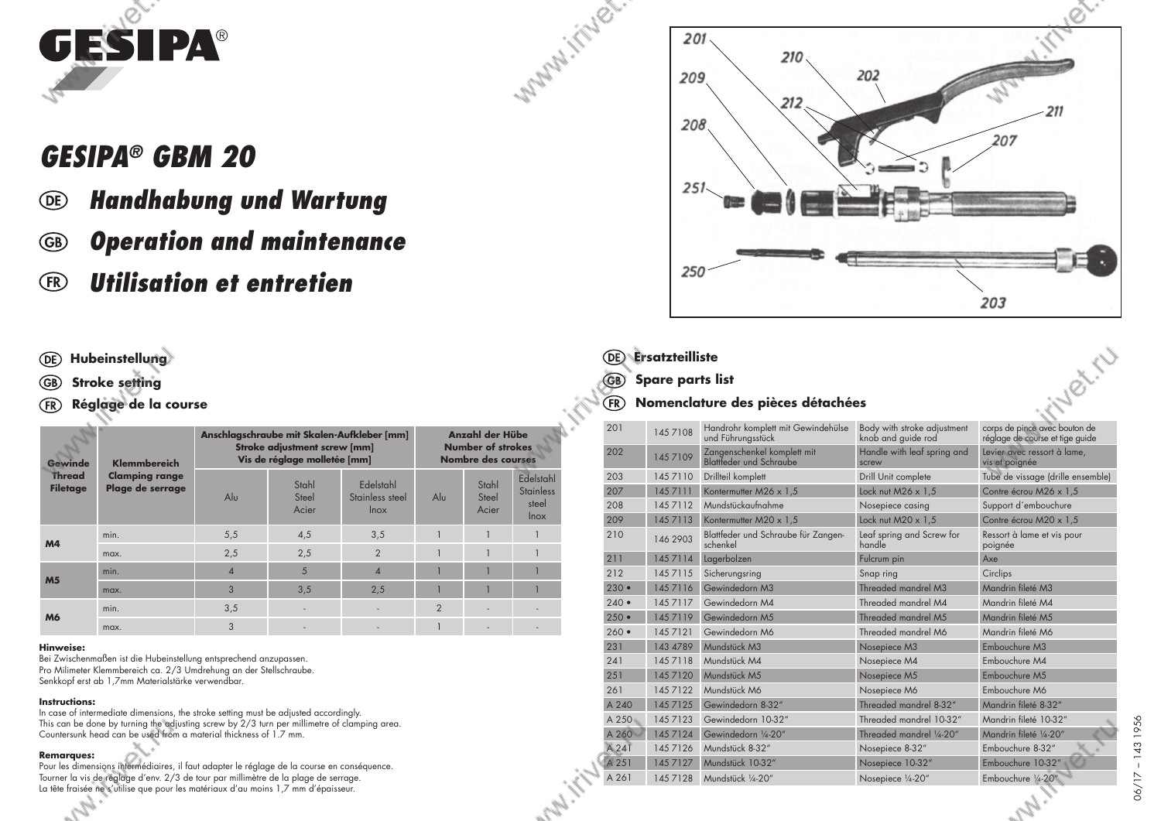

# *GESIPA® GBM 20*

- *Handhabung und Wartung* **(DE)**
- *Operation and maintenance* (GB)
- *Utilisation et entretien*  $(FR)$

#### **Hubeinstellung**

- **Stroke setting** GB)
- **Réglage de la course**  $(FR)$

| Gewinde                          | Klemmbereich<br><b>Clamping range</b><br>Plage de serrage | Anschlagschraube mit Skalen-Aufkleber [mm]<br><b>Stroke adjustment screw [mm]</b><br>Vis de réglage molletée [mm] |                         |                                             | Anzahl der Hübe<br><b>Number of strokes</b><br><b>Nombre des courses</b> |                         |                                                       |
|----------------------------------|-----------------------------------------------------------|-------------------------------------------------------------------------------------------------------------------|-------------------------|---------------------------------------------|--------------------------------------------------------------------------|-------------------------|-------------------------------------------------------|
| <b>Thread</b><br><b>Filetage</b> |                                                           | $\mathsf{Al}\mathsf{u}$                                                                                           | Stahl<br>Steel<br>Acier | Edelstahl<br>Stainless steel<br><b>Inox</b> | Alu                                                                      | Stahl<br>Steel<br>Acier | Edelstahl<br><b>Stainless</b><br>steel<br><b>lnox</b> |
|                                  | min.                                                      | 5,5                                                                                                               | 4,5                     | 3,5                                         |                                                                          |                         |                                                       |
| M <sub>4</sub>                   | max.                                                      | 2,5                                                                                                               | 2,5                     | $\overline{2}$                              |                                                                          |                         |                                                       |
| M <sub>5</sub>                   | min.                                                      | $\Delta$                                                                                                          | 5                       | $\Delta$                                    |                                                                          |                         |                                                       |
|                                  | max.                                                      | 3                                                                                                                 | 3,5                     | 2,5                                         |                                                                          |                         |                                                       |
|                                  | min.                                                      | 3,5                                                                                                               | ٠                       |                                             | $\overline{2}$                                                           |                         |                                                       |
| M <sub>6</sub>                   | max.                                                      | 3                                                                                                                 |                         |                                             |                                                                          |                         |                                                       |

#### **Hinweise:**

Bei Zwischenmaßen ist die Hubeinstellung entsprechend anzupassen. Pro Milimeter Klemmbereich ca. 2/3 Umdrehung an der Stellschraube. Senkkopf erst ab 1,7mm Materialstärke verwendbar.

#### **Instructions:**

In case of intermediate dimensions, the stroke setting must be adjusted accordingly. This can be done by turning the adjusting screw by 2/3 turn per millimetre of clamping area. Countersunk head can be used from a material thickness of 1.7 mm.

#### **Remarques:**

Pour les dimensions intermédiaires, il faut adapter le réglage de la course en conséquence. Tourner la vis de réglage d'env. 2/3 de tour par millimètre de la plage de serrage. La tête fraisée ne s'utilise que pour les matériaux d'au moins 1,7 mm d'épaisseur.



### **Ersatzteilliste**

**MAIN** 

Maple ...

#### **Nomenclature des pièces détachées** (FR)

| <b>Ersatzteilliste</b><br>DE)                         |                         |                                                         |                                                   |                                                                  |  |  |  |  |
|-------------------------------------------------------|-------------------------|---------------------------------------------------------|---------------------------------------------------|------------------------------------------------------------------|--|--|--|--|
| GB                                                    | <b>Spare parts list</b> |                                                         |                                                   |                                                                  |  |  |  |  |
| Fillet II<br>Nomenclature des pièces détachées<br>FR) |                         |                                                         |                                                   |                                                                  |  |  |  |  |
| 201                                                   | 145 7108                | Handrohr komplett mit Gewindehülse<br>und Führungsstück | Body with stroke adjustment<br>knob and quide rod | corps de pince avec bouton de<br>réglage de course et tige guide |  |  |  |  |
| 202                                                   | 1457109                 | Zangenschenkel komplett mit<br>Blattfeder und Schraube  | Handle with leaf spring and<br>screw              | Levier avec ressort à lame,<br>vis et poignée                    |  |  |  |  |
| 203                                                   | 145 7110                | Drillteil komplett                                      | Drill Unit complete                               | Tube de vissage (drille ensemble)                                |  |  |  |  |
| 207                                                   | 1457111                 | Kontermutter M26 x 1,5                                  | Lock nut $M26 \times 1.5$                         | Contre écrou M26 x 1,5                                           |  |  |  |  |
| 208                                                   | 1457112                 | Mundstückaufnahme                                       | Nosepiece casing                                  | Support d'embouchure                                             |  |  |  |  |
| 209                                                   | 1457113                 | Kontermutter M20 x 1,5                                  | Lock nut $M20 \times 1.5$                         | Contre écrou M20 x 1.5                                           |  |  |  |  |
| 210                                                   | 146 2903                | Blattfeder und Schraube für Zangen-<br>schenkel         | Leaf spring and Screw for<br>handle               | Ressort à lame et vis pour<br>poignée                            |  |  |  |  |
| 211                                                   | 1457114                 | Lagerbolzen                                             | Fulcrum pin                                       | Axe                                                              |  |  |  |  |
| 212                                                   | 145 7115                | Sicherungsring                                          | Snap ring                                         | Circlips                                                         |  |  |  |  |
| $230 -$                                               | 145 7116                | Gewindedorn M3                                          | Threaded mandrel M3                               | Mandrin fileté M3                                                |  |  |  |  |
| $240 \bullet$                                         | 1457117                 | Gewindedorn M4                                          | Threaded mandrel M4                               | Mandrin fileté M4                                                |  |  |  |  |
| $250 -$                                               | 1457119                 | Gewindedorn M5                                          | Threaded mandrel M5                               | Mandrin fileté M5                                                |  |  |  |  |
| $260 \bullet$                                         | 145 7121                | Gewindedorn M6                                          | Threaded mandrel M6                               | Mandrin fileté M6                                                |  |  |  |  |
| 231                                                   | 143 4789                | Mundstück M3                                            | Nosepiece M3                                      | Embouchure M3                                                    |  |  |  |  |
| 241                                                   | 1457118                 | Mundstück M4                                            | Nosepiece M4                                      | Embouchure M4                                                    |  |  |  |  |
| 251                                                   | 145 7120                | Mundstück M5                                            | Nosepiece M5                                      | Embouchure M5                                                    |  |  |  |  |
| 261                                                   | 145 7122                | Mundstück M6                                            | Nosepiece M6                                      | Embouchure M6                                                    |  |  |  |  |
| A 240                                                 | 145 7125                | Gewindedorn 8-32"                                       | Threaded mandrel 8-32"                            | Mandrin fileté 8-32"                                             |  |  |  |  |
| A 250                                                 | 145 7123                | Gewindedorn 10-32"                                      | Threaded mandrel 10-32"                           | Mandrin fileté 10-32"                                            |  |  |  |  |
| A 260                                                 | 145 7124                | Gewindedorn 1/4-20"                                     | Threaded mandrel 1/4-20"                          | Mandrin fileté 1/4-20"                                           |  |  |  |  |
| A 241                                                 | 145 7126                | Mundstück 8-32"                                         | Nosepiece 8-32"                                   | Embouchure 8-32"                                                 |  |  |  |  |
| A 251                                                 | 145 7127                | Mundstück 10-32"                                        | Nosepiece 10-32"                                  | Embouchure 10-32"                                                |  |  |  |  |
| A 261                                                 | 145 7128                | Mundstück 1/4-20"                                       | Nosepiece 1/4-20"                                 | Embouchure 1/4-20"                                               |  |  |  |  |
|                                                       |                         |                                                         |                                                   | $h_{\alpha}$                                                     |  |  |  |  |